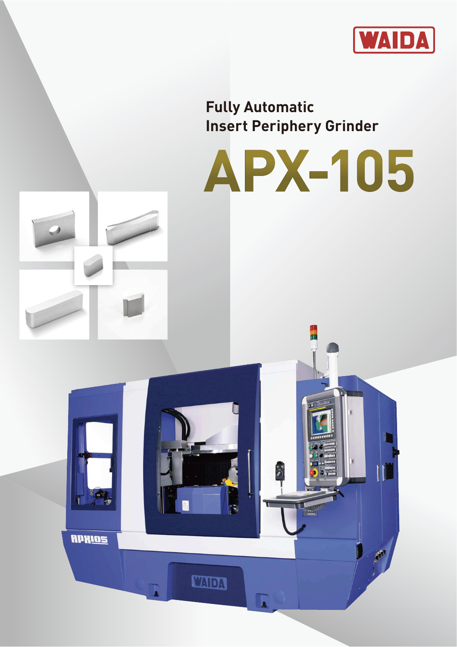

**Fully Automatic Insert Periphery Grinder**

APKIOS

**TADA** 

A

# **APX-105**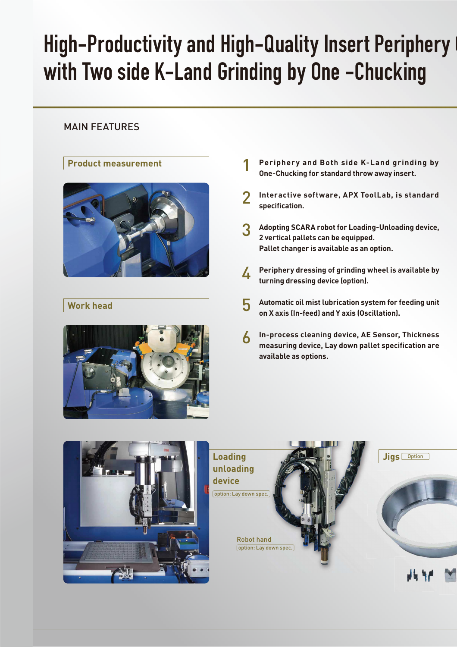# High-Productivity and High-Quality Insert Periphery with Two side K-Land Grinding by One -Chucking

# MAIN FEATURES

# **Product measurement**



# **Work head**



- **Periphery and Both side K-Land grinding by One-Chucking for standard throw away insert.** 1
- **Interactive software, APX ToolLab, is standard specification.** 2
- **Adopting SCARA robot for Loading-Unloading device, 2 vertical pallets can be equipped. Pallet changer is available as an option.** 3
- **Periphery dressing of grinding wheel is available by turning dressing device (option).** 4
- **Automatic oil mist lubrication system for feeding unit on X axis (In-feed) and Y axis (Oscillation).** 5
- **In-process cleaning device, AE Sensor, Thickness measuring device, Lay down pallet specification are available as options.** 6

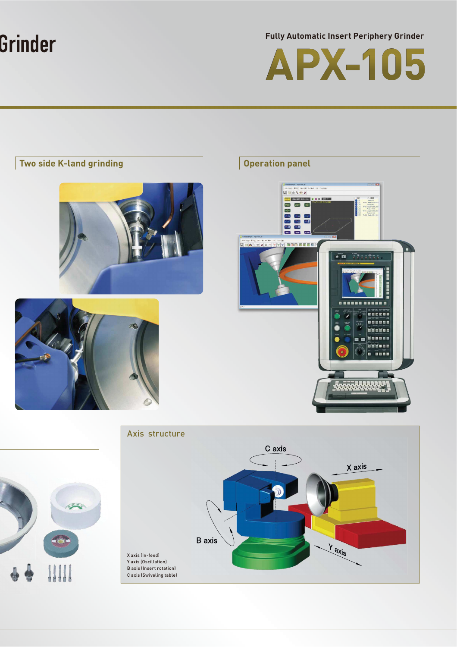# Grinder

**Fully Automatic Insert Periphery Grinder**



# **Two side K-land grinding CONSIDER AND STATE OPERATION PANEL PROPERTY OPERATION PANEL PROPERTY Contract**  $\overline{\mathcal{L}}$ 四  $\frac{1}{\sqrt{2}}$ □  $\overline{\phantom{a}}$ **EXCESSION** 27440 8800 8338 8087 30 **Balling Corp**  $\overset{\text{FOMER}}{\bullet}$ **NESES BEER** 医动脉的直肠 800000 Waansa See se -Axis structure C axis X axis **B** axis Yaxis X axis (In-feed) Y axis (Oscillation) B axis (Insert rotation) C axis (Swiveling table)